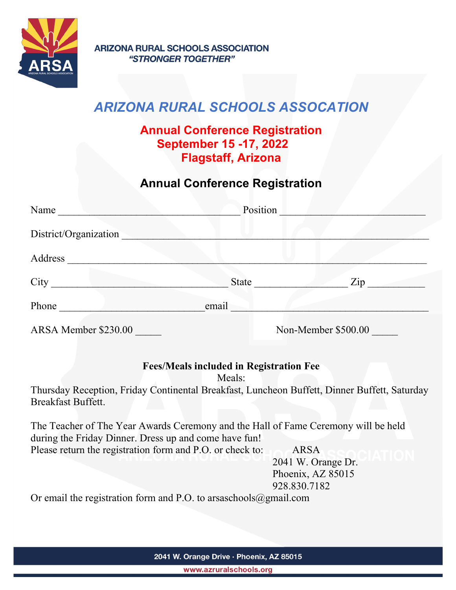

# ARIZONA RURAL SCHOOLS ASSOCATION

### Annual Conference Registration September 15 -17, 2022 Flagstaff, Arizona

## Annual Conference Registration

| Name                  | Position            |                                   |
|-----------------------|---------------------|-----------------------------------|
| District/Organization |                     |                                   |
| Address               |                     |                                   |
| City                  | <b>State</b>        | $\mathop{\mathrm {Zip}}\nolimits$ |
| Phone                 | email               |                                   |
| ARSA Member \$230.00  | Non-Member \$500.00 |                                   |

#### Fees/Meals included in Registration Fee

Meals:

Thursday Reception, Friday Continental Breakfast, Luncheon Buffett, Dinner Buffett, Saturday Breakfast Buffett.

The Teacher of The Year Awards Ceremony and the Hall of Fame Ceremony will be held during the Friday Dinner. Dress up and come have fun! Please return the registration form and P.O. or check to: ARSA

 2041 W. Orange Dr. Phoenix, AZ 85015 928.830.7182

Or email the registration form and P.O. to arsaschools@gmail.com